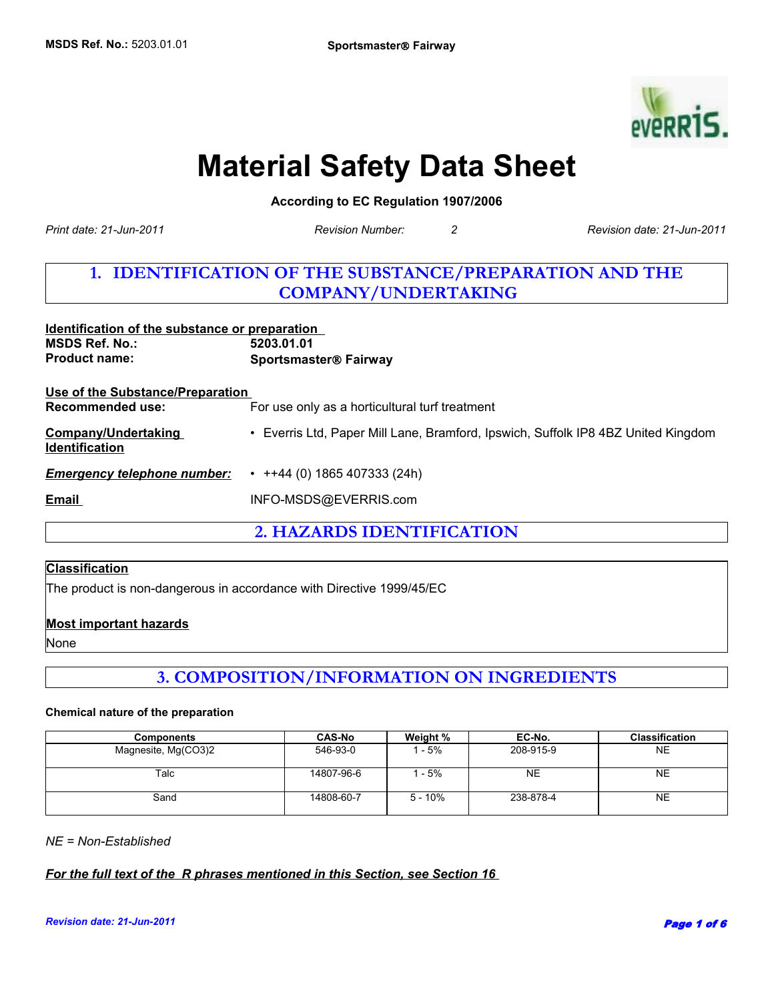

# **Material Safety Data Sheet**

**According to EC Regulation 1907/2006** 

*Print date: 21-Jun-2011*

*Revision Number: 2 Revision date: 21-Jun-2011*

# **1. IDENTIFICATION OF THE SUBSTANCE/PREPARATION AND THE COMPANY/UNDERTAKING**

| Identification of the substance or preparation<br><b>MSDS Ref. No.:</b><br><b>Product name:</b> | 5203.01.01<br><b>Sportsmaster® Fairway</b>                                        |
|-------------------------------------------------------------------------------------------------|-----------------------------------------------------------------------------------|
| Use of the Substance/Preparation<br>Recommended use:                                            | For use only as a horticultural turf treatment                                    |
| Company/Undertaking<br><b>Identification</b>                                                    | • Everris Ltd, Paper Mill Lane, Bramford, Ipswich, Suffolk IP8 4BZ United Kingdom |
| <b>Emergency telephone number:</b>                                                              | $\cdot$ ++44 (0) 1865 407333 (24h)                                                |
| Email                                                                                           | INFO-MSDS@EVERRIS.com                                                             |
|                                                                                                 |                                                                                   |

**2. HAZARDS IDENTIFICATION**

#### **Classification**

The product is non-dangerous in accordance with Directive 1999/45/EC

#### **Most important hazards**

None

# **3. COMPOSITION/INFORMATION ON INGREDIENTS**

#### **Chemical nature of the preparation**

| <b>Components</b>   | <b>CAS-No</b> | Weight %  | EC-No.    | <b>Classification</b> |
|---------------------|---------------|-----------|-----------|-----------------------|
| Magnesite, Mg(CO3)2 | 546-93-0      | - 5%      | 208-915-9 | NE                    |
| Talc                | 14807-96-6    | - 5%      | NE        | NE                    |
| Sand                | 14808-60-7    | $5 - 10%$ | 238-878-4 | NE                    |

*NE = Non-Established*

*For the full text of the R phrases mentioned in this Section, see Section 16*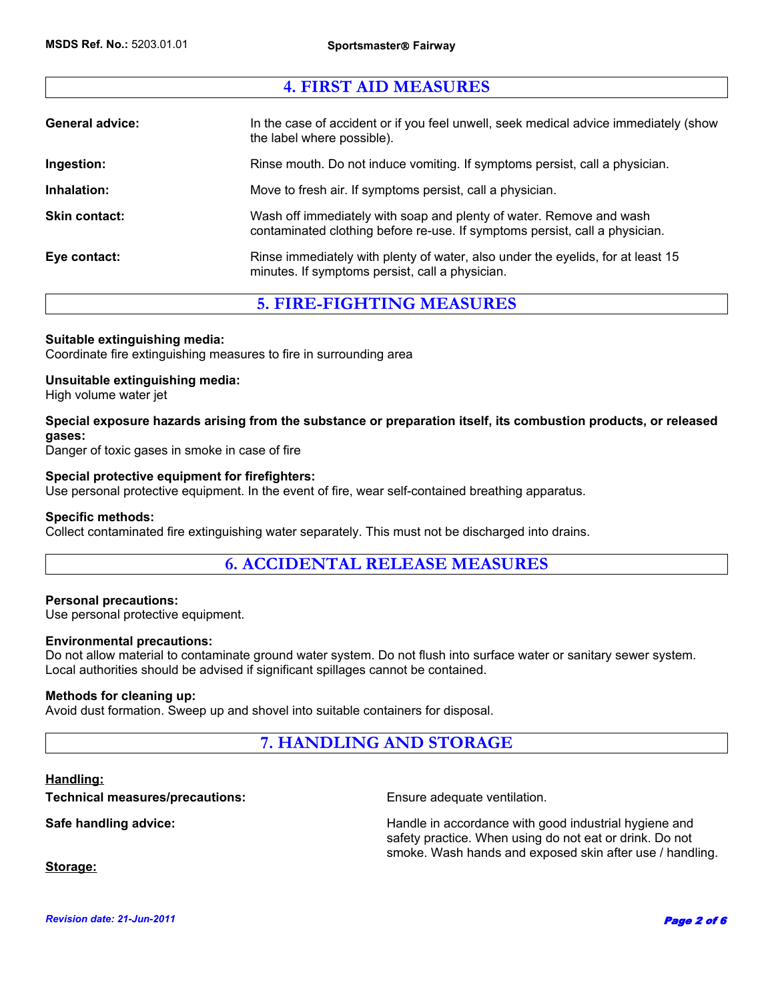### **4. FIRST AID MEASURES**

| <b>General advice:</b> | In the case of accident or if you feel unwell, seek medical advice immediately (show<br>the label where possible).                                 |
|------------------------|----------------------------------------------------------------------------------------------------------------------------------------------------|
| Ingestion:             | Rinse mouth. Do not induce vomiting. If symptoms persist, call a physician.                                                                        |
| Inhalation:            | Move to fresh air. If symptoms persist, call a physician.                                                                                          |
| Skin contact:          | Wash off immediately with soap and plenty of water. Remove and wash<br>contaminated clothing before re-use. If symptoms persist, call a physician. |
| Eye contact:           | Rinse immediately with plenty of water, also under the eyelids, for at least 15<br>minutes. If symptoms persist, call a physician.                 |

### **5. FIRE-FIGHTING MEASURES**

#### **Suitable extinguishing media:**

Coordinate fire extinguishing measures to fire in surrounding area

#### **Unsuitable extinguishing media:**

High volume water jet

#### **Special exposure hazards arising from the substance or preparation itself, its combustion products, or released gases:**

Danger of toxic gases in smoke in case of fire

#### **Special protective equipment for firefighters:**

Use personal protective equipment. In the event of fire, wear self-contained breathing apparatus.

#### **Specific methods:**

Collect contaminated fire extinguishing water separately. This must not be discharged into drains.

### **6. ACCIDENTAL RELEASE MEASURES**

#### **Personal precautions:**

Use personal protective equipment.

#### **Environmental precautions:**

Do not allow material to contaminate ground water system. Do not flush into surface water or sanitary sewer system. Local authorities should be advised if significant spillages cannot be contained.

#### **Methods for cleaning up:**

Avoid dust formation. Sweep up and shovel into suitable containers for disposal.

## **7. HANDLING AND STORAGE**

#### **Handling:**

**Technical measures/precautions:** Ensure adequate ventilation.

**Safe handling advice: Handle in accordance with good industrial hygiene and Handle in accordance with good industrial hygiene and** safety practice. When using do not eat or drink. Do not smoke. Wash hands and exposed skin after use / handling.

**Storage:**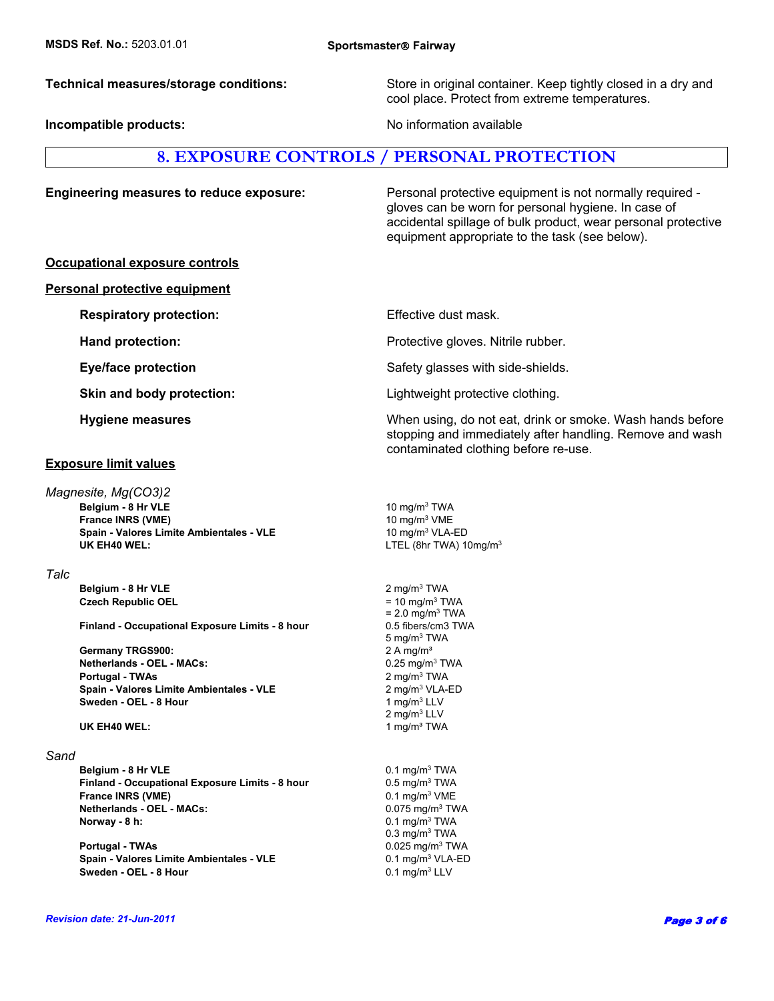**Incompatible products:**  $\qquad \qquad \qquad$  No information available

**Technical measures/storage conditions:** Store in original container. Keep tightly closed in a dry and cool place. Protect from extreme temperatures.

### **8. EXPOSURE CONTROLS / PERSONAL PROTECTION**

**Respiratory protection:** Effective dust mask.

**Engineering measures to reduce exposure:** Personal protective equipment is not normally required gloves can be worn for personal hygiene. In case of accidental spillage of bulk product, wear personal protective equipment appropriate to the task (see below).

#### **Occupational exposure controls**

#### **Personal protective equipment**

**Hand protection: Example 20 and Series and Protective gloves. Nitrile rubber.** 

#### **Exposure limit values**

**UK EH40 WEL:** LTEL (8hr TWA) 10mg/m<sup>3</sup> **Belgium - 8 Hr VLE** 10 mg/m<sup>3</sup> TWA *Magnesite, Mg(CO3)2*  **France INRS (VME) Spain - Valores Limite Ambientales - VLE** 10 mg/m<sup>3</sup> VLA-ED

#### *Talc*

 **Belgium - 8 Hr VLE Czech Republic OEL** = 10 mg/m<sup>3</sup> TWA

**Finland - Occupational Exposure Limits - 8 hour** 0.5 fibers/cm3 TWA

**Portugal - TWAs** 2 mg/m3 TWA  **Spain - Valores Limite Ambientales - VLE** 2 mg/m3 VLA-ED **Sweden - OEL - 8 Hour Germany TRGS900:** 2 A mg/m<sup>3</sup>  **Netherlands - OEL - MACs:** 

**UK EH40 WEL:** 1 mg/m<sup>3</sup> TWA

#### *Sand*

**Belgium - 8 Hr VLE** 2012 **Delaysing the ULE** 0.1 mg/m<sup>3</sup> TWA **Finland - Occupational Exposure Limits - 8 hour** 0.5 mg/m<sup>3</sup> TWA **France INRS (VME)** 0.1 mg/m<sup>3</sup> VME  **Netherlands - OEL - MACs:** 0.075 mg/m3 TWA **Norway - 8 h:** 0.1 mg/m<sup>3</sup> TWA

 **Portugal - TWAs** 0.025 mg/m3 TWA **Spain - Valores Limite Ambientales - VLE** 0.1 mg/m<sup>3</sup> VLA-ED **Sweden - OEL - 8 Hour**  0.1 mg/m<sup>3</sup> LLV

**Eye/face protection** Safety glasses with side-shields.

**Skin and body protection: Example 2 Example 2 Eightweight protective clothing.** 

**Hygiene measures** Microsoft Communist Communist Communist Communist Communist Communist Communist Communist Communist Communist Communist Communist Communist Communist Communist Communist Communist Communist Communist Com stopping and immediately after handling. Remove and wash contaminated clothing before re-use.

10 mg/m3 VME

2 mg/m3 TWA

2 mg/m3 LLV  $= 2.0$  mg/m<sup>3</sup> TWA 0.3 mg/m3 TWA 5 mg/m3 TWA  $0.25$  mg/m $3$  TWA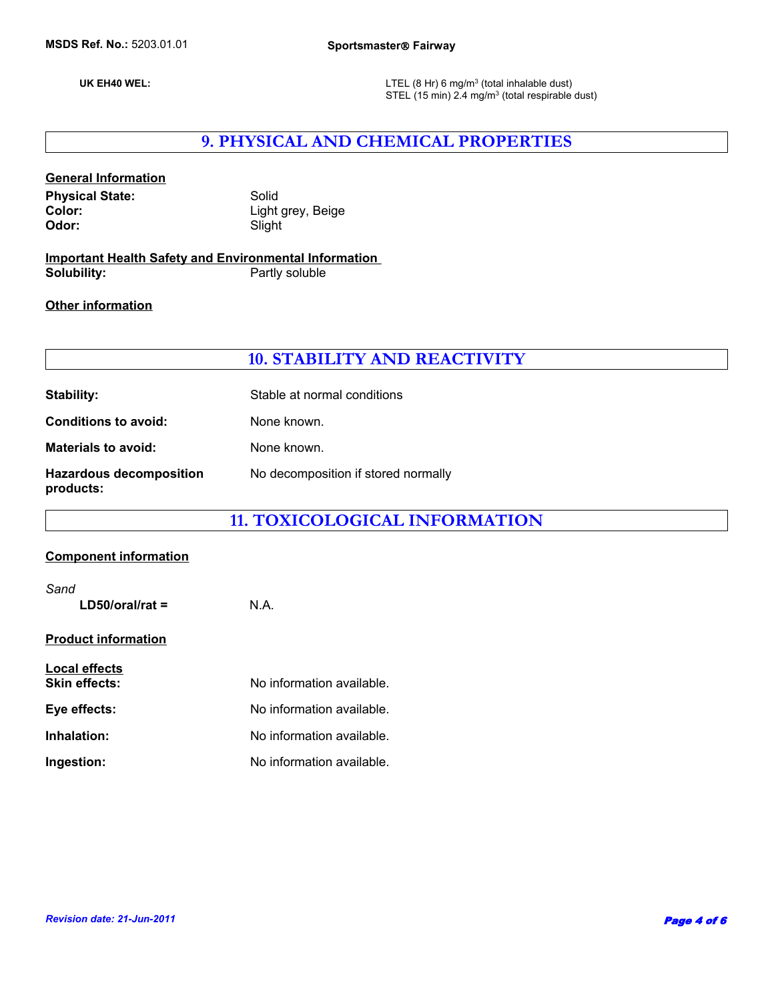**UK EH40 WEL:**

LTEL (8 Hr) 6 mg/m $3$  (total inhalable dust) STEL (15 min) 2.4 mg/m<sup>3</sup> (total respirable dust)

# **9. PHYSICAL AND CHEMICAL PROPERTIES**

### **General Information**

Physical State: Solid Color: **Solid** Color: **Color:** Light grey, Beige<br> **Color:** Slight Slight **Odor:** Slight

#### **Important Health Safety and Environmental Information Partly soluble**

#### **Other information**

### **10. STABILITY AND REACTIVITY**

| Stability:                                  | Stable at normal conditions         |
|---------------------------------------------|-------------------------------------|
| <b>Conditions to avoid:</b>                 | None known.                         |
| <b>Materials to avoid:</b>                  | None known.                         |
| <b>Hazardous decomposition</b><br>products: | No decomposition if stored normally |

# **11. TOXICOLOGICAL INFORMATION**

#### **Component information**

| Sand<br>$LD50/oral/rat =$                    | N.A.                      |
|----------------------------------------------|---------------------------|
| <b>Product information</b>                   |                           |
| <b>Local effects</b><br><b>Skin effects:</b> | No information available. |
| Eve effects:                                 | No information available. |
| Inhalation:                                  | No information available. |
| Ingestion:                                   | No information available. |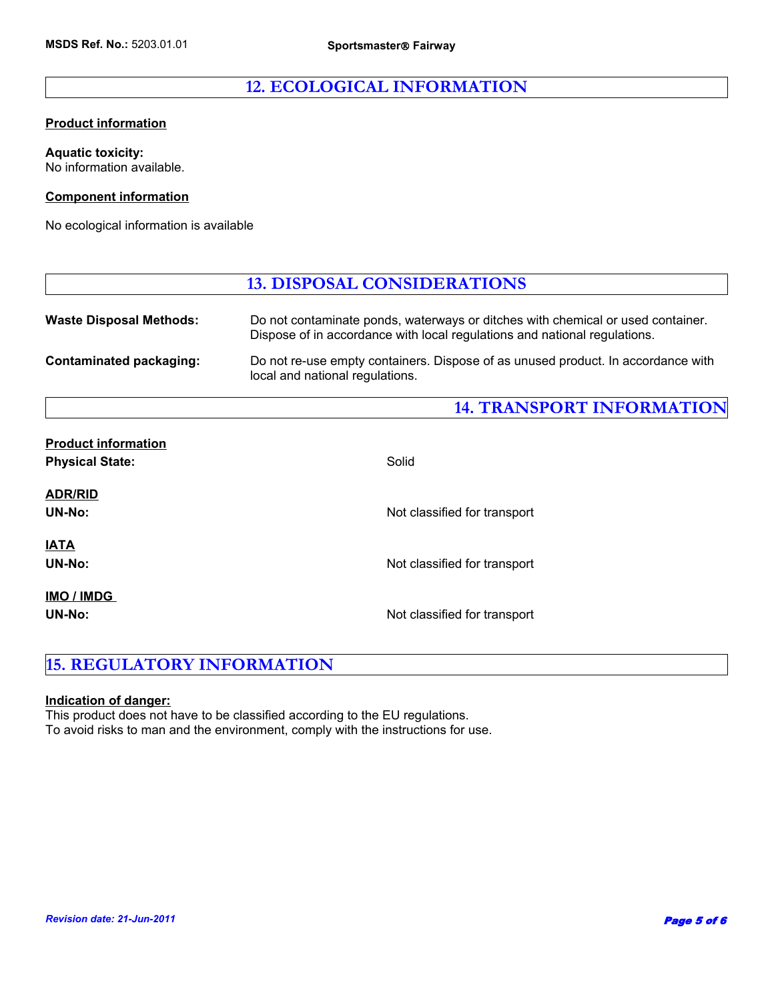# **12. ECOLOGICAL INFORMATION**

#### **Product information**

**Aquatic toxicity:** No information available.

#### **Component information**

No ecological information is available

|                                | <b>13. DISPOSAL CONSIDERATIONS</b>                                                                                                                           |
|--------------------------------|--------------------------------------------------------------------------------------------------------------------------------------------------------------|
| <b>Waste Disposal Methods:</b> | Do not contaminate ponds, waterways or ditches with chemical or used container.<br>Dispose of in accordance with local regulations and national regulations. |
| <b>Contaminated packaging:</b> | Do not re-use empty containers. Dispose of as unused product. In accordance with<br>local and national regulations.                                          |

# **14. TRANSPORT INFORMATION**

| <b>Product information</b><br><b>Physical State:</b> | Solid                        |
|------------------------------------------------------|------------------------------|
| <b>ADR/RID</b><br>UN-No:                             | Not classified for transport |
| <b>IATA</b><br>UN-No:                                | Not classified for transport |
| IMO / IMDG<br>UN-No:                                 | Not classified for transport |

# **15. REGULATORY INFORMATION**

#### **Indication of danger:**

This product does not have to be classified according to the EU regulations. To avoid risks to man and the environment, comply with the instructions for use.